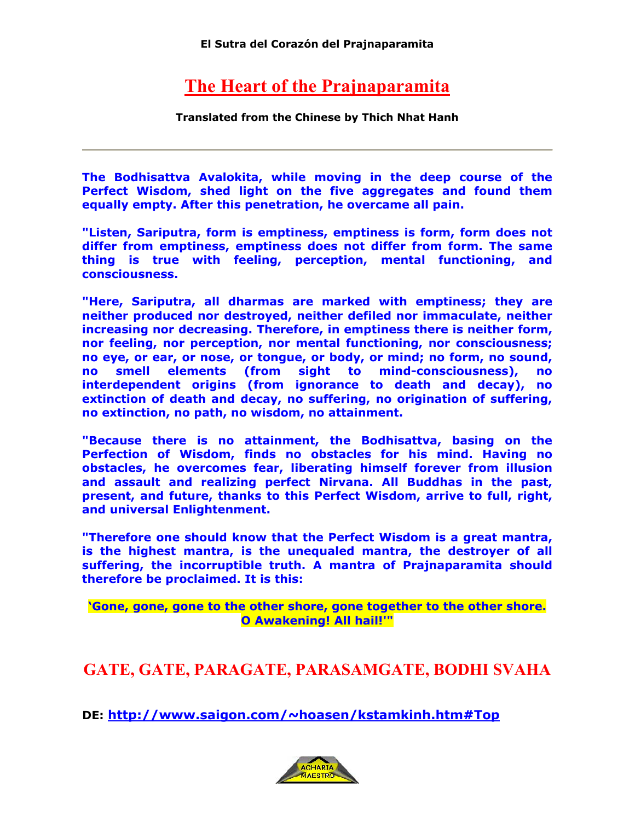**El Sutra del Corazón del Prajnaparamita** 

## **The Heart of the Prajnaparamita**

**Translated from the Chinese by Thich Nhat Hanh** 

**The Bodhisattva Avalokita, while moving in the deep course of the Perfect Wisdom, shed light on the five aggregates and found them equally empty. After this penetration, he overcame all pain.** 

**"Listen, Sariputra, form is emptiness, emptiness is form, form does not differ from emptiness, emptiness does not differ from form. The same thing is true with feeling, perception, mental functioning, and consciousness.** 

**"Here, Sariputra, all dharmas are marked with emptiness; they are neither produced nor destroyed, neither defiled nor immaculate, neither increasing nor decreasing. Therefore, in emptiness there is neither form, nor feeling, nor perception, nor mental functioning, nor consciousness; no eye, or ear, or nose, or tongue, or body, or mind; no form, no sound, no smell elements (from sight to mind-consciousness), no interdependent origins (from ignorance to death and decay), no extinction of death and decay, no suffering, no origination of suffering, no extinction, no path, no wisdom, no attainment.** 

**"Because there is no attainment, the Bodhisattva, basing on the Perfection of Wisdom, finds no obstacles for his mind. Having no obstacles, he overcomes fear, liberating himself forever from illusion and assault and realizing perfect Nirvana. All Buddhas in the past, present, and future, thanks to this Perfect Wisdom, arrive to full, right, and universal Enlightenment.** 

**"Therefore one should know that the Perfect Wisdom is a great mantra, is the highest mantra, is the unequaled mantra, the destroyer of all suffering, the incorruptible truth. A mantra of Prajnaparamita should therefore be proclaimed. It is this:** 

## **'Gone, gone, gone to the other shore, gone together to the other shore. O Awakening! All hail!'"**

## **GATE, GATE, PARAGATE, PARASAMGATE, BODHI SVAHA**

**DE: http://www.saigon.com/~hoasen/kstamkinh.htm#Top**